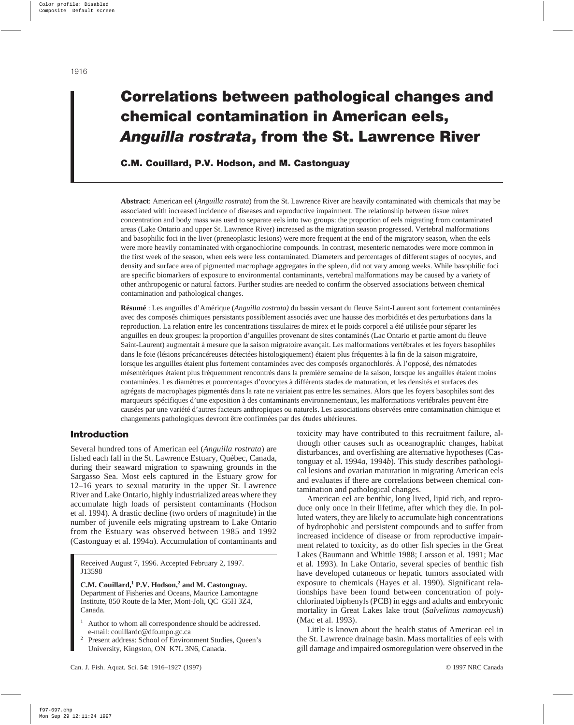# **Correlations between pathological changes and chemical contamination in American eels,** *Anguilla rostrata***, from the St. Lawrence River**

# **C.M. Couillard, P.V. Hodson, and M. Castonguay**

**Abstract**: American eel (*Anguilla rostrata*) from the St. Lawrence River are heavily contaminated with chemicals that may be associated with increased incidence of diseases and reproductive impairment. The relationship between tissue mirex concentration and body mass was used to separate eels into two groups: the proportion of eels migrating from contaminated areas (Lake Ontario and upper St. Lawrence River) increased as the migration season progressed. Vertebral malformations and basophilic foci in the liver (preneoplastic lesions) were more frequent at the end of the migratory season, when the eels were more heavily contaminated with organochlorine compounds. In contrast, mesenteric nematodes were more common in the first week of the season, when eels were less contaminated. Diameters and percentages of different stages of oocytes, and density and surface area of pigmented macrophage aggregates in the spleen, did not vary among weeks. While basophilic foci are specific biomarkers of exposure to environmental contaminants, vertebral malformations may be caused by a variety of other anthropogenic or natural factors. Further studies are needed to confirm the observed associations between chemical contamination and pathological changes.

**Résumé** : Les anguilles d'Amérique (*Anguilla rostrata)* du bassin versant du fleuve Saint-Laurent sont fortement contaminées avec des composés chimiques persistants possiblement associés avec une hausse des morbidités et des perturbations dans la reproduction. La relation entre les concentrations tissulaires de mirex et le poids corporel a été utilisée pour séparer les anguilles en deux groupes: la proportion d'anguilles provenant de sites contaminés (Lac Ontario et partie amont du fleuve Saint-Laurent) augmentait à mesure que la saison migratoire avançait. Les malformations vertébrales et les foyers basophiles dans le foie (lésions précancéreuses détectées histologiquement) étaient plus fréquentes à la fin de la saison migratoire, lorsque les anguilles étaient plus fortement contaminées avec des composés organochlorés. À l'opposé, des nématodes mésentériques étaient plus fréquemment rencontrés dans la première semaine de la saison, lorsque les anguilles étaient moins contaminées. Les diamètres et pourcentages d'ovocytes à différents stades de maturation, et les densités et surfaces des agrégats de macrophages pigmentés dans la rate ne variaient pas entre les semaines. Alors que les foyers basophiles sont des marqueurs spécifiques d'une exposition à des contaminants environnementaux, les malformations vertébrales peuvent être causées par une variété d'autres facteurs anthropiques ou naturels. Les associations observées entre contamination chimique et changements pathologiques devront être confirmées par des études ultérieures.

# **Introduction**

Several hundred tons of American eel (*Anguilla rostrata*) are fished each fall in the St. Lawrence Estuary, Québec, Canada, during their seaward migration to spawning grounds in the Sargasso Sea. Most eels captured in the Estuary grow for 12–16 years to sexual maturity in the upper St. Lawrence River and Lake Ontario, highly industrialized areas where they accumulate high loads of persistent contaminants (Hodson et al. 1994). A drastic decline (two orders of magnitude) in the number of juvenile eels migrating upstream to Lake Ontario from the Estuary was observed between 1985 and 1992 (Castonguay et al. 1994*a*). Accumulation of contaminants and

Received August 7, 1996. Accepted February 2, 1997. J13598

**C.M. Couillard,1 P.V. Hodson,2 and M. Castonguay.** Department of Fisheries and Oceans, Maurice Lamontagne Institute, 850 Route de la Mer, Mont-Joli, QC G5H 3Z4, Canada.

- Author to whom all correspondence should be addressed. e-mail: couillardc@dfo.mpo.gc.ca
- Present address: School of Environment Studies, Queen's University, Kingston, ON K7L 3N6, Canada.

toxicity may have contributed to this recruitment failure, although other causes such as oceanographic changes, habitat disturbances, and overfishing are alternative hypotheses (Castonguay et al. 1994*a*, 1994*b*). This study describes pathological lesions and ovarian maturation in migrating American eels and evaluates if there are correlations between chemical contamination and pathological changes.

American eel are benthic, long lived, lipid rich, and reproduce only once in their lifetime, after which they die. In polluted waters, they are likely to accumulate high concentrations of hydrophobic and persistent compounds and to suffer from increased incidence of disease or from reproductive impairment related to toxicity, as do other fish species in the Great Lakes (Baumann and Whittle 1988; Larsson et al. 1991; Mac et al. 1993). In Lake Ontario, several species of benthic fish have developed cutaneous or hepatic tumors associated with exposure to chemicals (Hayes et al. 1990). Significant relationships have been found between concentration of polychlorinated biphenyls (PCB) in eggs and adults and embryonic mortality in Great Lakes lake trout (*Salvelinus namaycush*) (Mac et al. 1993).

Little is known about the health status of American eel in the St. Lawrence drainage basin. Mass mortalities of eels with gill damage and impaired osmoregulation were observed in the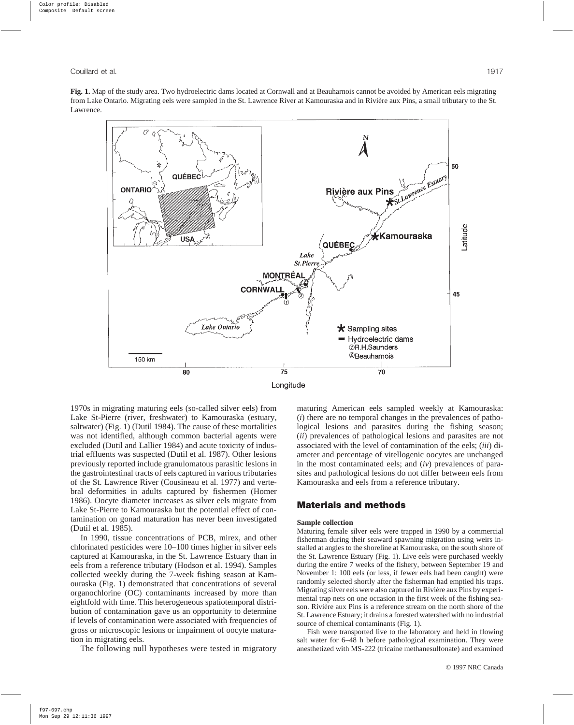**Fig. 1.** Map of the study area. Two hydroelectric dams located at Cornwall and at Beauharnois cannot be avoided by American eels migrating from Lake Ontario. Migrating eels were sampled in the St. Lawrence River at Kamouraska and in Rivière aux Pins, a small tributary to the St. Lawrence.



1970s in migrating maturing eels (so-called silver eels) from Lake St-Pierre (river, freshwater) to Kamouraska (estuary, saltwater) (Fig. 1) (Dutil 1984). The cause of these mortalities was not identified, although common bacterial agents were excluded (Dutil and Lallier 1984) and acute toxicity of industrial effluents was suspected (Dutil et al. 1987). Other lesions previously reported include granulomatous parasitic lesions in the gastrointestinal tracts of eels captured in various tributaries of the St. Lawrence River (Cousineau et al. 1977) and vertebral deformities in adults captured by fishermen (Homer 1986). Oocyte diameter increases as silver eels migrate from Lake St-Pierre to Kamouraska but the potential effect of contamination on gonad maturation has never been investigated (Dutil et al. 1985).

In 1990, tissue concentrations of PCB, mirex, and other chlorinated pesticides were 10–100 times higher in silver eels captured at Kamouraska, in the St. Lawrence Estuary than in eels from a reference tributary (Hodson et al. 1994). Samples collected weekly during the 7-week fishing season at Kamouraska (Fig. 1) demonstrated that concentrations of several organochlorine (OC) contaminants increased by more than eightfold with time. This heterogeneous spatiotemporal distribution of contamination gave us an opportunity to determine if levels of contamination were associated with frequencies of gross or microscopic lesions or impairment of oocyte maturation in migrating eels.

The following null hypotheses were tested in migratory

maturing American eels sampled weekly at Kamouraska: (*i*) there are no temporal changes in the prevalences of pathological lesions and parasites during the fishing season; (*ii*) prevalences of pathological lesions and parasites are not associated with the level of contamination of the eels; (*iii*) diameter and percentage of vitellogenic oocytes are unchanged in the most contaminated eels; and (*iv*) prevalences of parasites and pathological lesions do not differ between eels from Kamouraska and eels from a reference tributary.

# **Materials and methods**

## **Sample collection**

Maturing female silver eels were trapped in 1990 by a commercial fisherman during their seaward spawning migration using weirs installed at angles to the shoreline at Kamouraska, on the south shore of the St. Lawrence Estuary (Fig. 1). Live eels were purchased weekly during the entire 7 weeks of the fishery, between September 19 and November 1: 100 eels (or less, if fewer eels had been caught) were randomly selected shortly after the fisherman had emptied his traps. Migrating silver eels were also captured in Rivière aux Pins by experimental trap nets on one occasion in the first week of the fishing season. Rivière aux Pins is a reference stream on the north shore of the St. Lawrence Estuary; it drains a forested watershed with no industrial source of chemical contaminants (Fig. 1).

Fish were transported live to the laboratory and held in flowing salt water for 6–48 h before pathological examination. They were anesthetized with MS-222 (tricaine methanesulfonate) and examined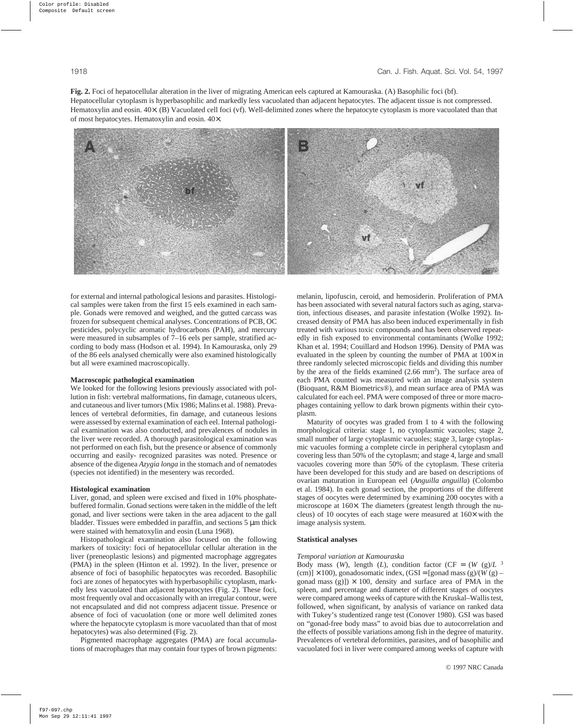**Fig. 2.** Foci of hepatocellular alteration in the liver of migrating American eels captured at Kamouraska. (A) Basophilic foci (bf). Hepatocellular cytoplasm is hyperbasophilic and markedly less vacuolated than adjacent hepatocytes. The adjacent tissue is not compressed. Hematoxylin and eosin. 40×. (B) Vacuolated cell foci (vf). Well-delimited zones where the hepatocyte cytoplasm is more vacuolated than that of most hepatocytes. Hematoxylin and eosin. 40×.



for external and internal pathological lesions and parasites. Histological samples were taken from the first 15 eels examined in each sample. Gonads were removed and weighed, and the gutted carcass was frozen for subsequent chemical analyses. Concentrations of PCB, OC pesticides, polycyclic aromatic hydrocarbons (PAH), and mercury were measured in subsamples of 7–16 eels per sample, stratified according to body mass (Hodson et al. 1994). In Kamouraska, only 29 of the 86 eels analysed chemically were also examined histologically but all were examined macroscopically.

## **Macroscopic pathological examination**

We looked for the following lesions previously associated with pollution in fish: vertebral malformations, fin damage, cutaneous ulcers, and cutaneous and liver tumors (Mix 1986; Malins et al. 1988). Prevalences of vertebral deformities, fin damage, and cutaneous lesions were assessed by external examination of each eel. Internal pathological examination was also conducted, and prevalences of nodules in the liver were recorded. A thorough parasitological examination was not performed on each fish, but the presence or absence of commonly occurring and easily- recognized parasites was noted. Presence or absence of the digenea *Azygia longa* in the stomach and of nematodes (species not identified) in the mesentery was recorded.

#### **Histological examination**

Liver, gonad, and spleen were excised and fixed in 10% phosphatebuffered formalin. Gonad sections were taken in the middle of the left gonad, and liver sections were taken in the area adjacent to the gall bladder. Tissues were embedded in paraffin, and sections 5  $\mu$ m thick were stained with hematoxylin and eosin (Luna 1968).

Histopathological examination also focused on the following markers of toxicity: foci of hepatocellular cellular alteration in the liver (preneoplastic lesions) and pigmented macrophage aggregates (PMA) in the spleen (Hinton et al. 1992). In the liver, presence or absence of foci of basophilic hepatocytes was recorded. Basophilic foci are zones of hepatocytes with hyperbasophilic cytoplasm, markedly less vacuolated than adjacent hepatocytes (Fig. 2). These foci, most frequently oval and occasionally with an irregular contour, were not encapsulated and did not compress adjacent tissue. Presence or absence of foci of vacuolation (one or more well delimited zones where the hepatocyte cytoplasm is more vacuolated than that of most hepatocytes) was also determined (Fig. 2).

Pigmented macrophage aggregates (PMA) are focal accumulations of macrophages that may contain four types of brown pigments:

melanin, lipofuscin, ceroid, and hemosiderin. Proliferation of PMA has been associated with several natural factors such as aging, starvation, infectious diseases, and parasite infestation (Wolke 1992). Increased density of PMA has also been induced experimentally in fish treated with various toxic compounds and has been observed repeatedly in fish exposed to environmental contaminants (Wolke 1992; Khan et al. 1994; Couillard and Hodson 1996). Density of PMA was evaluated in the spleen by counting the number of PMA at 100× in three randomly selected microscopic fields and dividing this number by the area of the fields examined (2.66 mm<sup>2</sup>). The surface area of each PMA counted was measured with an image analysis system (Bioquant, R&M Biometrics®), and mean surface area of PMA was calculated for each eel. PMA were composed of three or more macrophages containing yellow to dark brown pigments within their cytoplasm.

Maturity of oocytes was graded from 1 to 4 with the following morphological criteria: stage 1, no cytoplasmic vacuoles; stage 2, small number of large cytoplasmic vacuoles; stage 3, large cytoplasmic vacuoles forming a complete circle in peripheral cytoplasm and covering less than 50% of the cytoplasm; and stage 4, large and small vacuoles covering more than 50% of the cytoplasm. These criteria have been developed for this study and are based on descriptions of ovarian maturation in European eel (*Anguilla anguilla*) (Colombo et al. 1984). In each gonad section, the proportions of the different stages of oocytes were determined by examining 200 oocytes with a microscope at 160×. The diameters (greatest length through the nucleus) of 10 oocytes of each stage were measured at 160× with the image analysis system.

#### **Statistical analyses**

#### *Temporal variation at Kamouraska*

Body mass (*W*), length (*L*), condition factor (CF =  $(W (g)/L)^3$  $(\text{cm})$  × 100), gonadosomatic index,  $(\text{GSI} = [\text{gonad mass (g)}/(\text{W (g)} - \text{GSI})]$ gonad mass (g)])  $\times$  100, density and surface area of PMA in the spleen, and percentage and diameter of different stages of oocytes were compared among weeks of capture with the Kruskal–Wallis test, followed, when significant, by analysis of variance on ranked data with Tukey's studentized range test (Conover 1980). GSI was based on "gonad-free body mass" to avoid bias due to autocorrelation and the effects of possible variations among fish in the degree of maturity. Prevalences of vertebral deformities, parasites, and of basophilic and vacuolated foci in liver were compared among weeks of capture with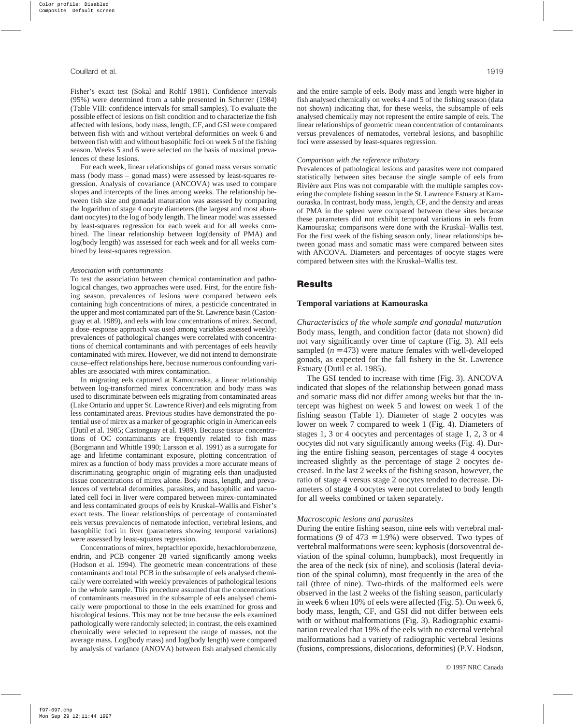Fisher's exact test (Sokal and Rohlf 1981). Confidence intervals (95%) were determined from a table presented in Scherrer (1984) (Table VIII: confidence intervals for small samples). To evaluate the possible effect of lesions on fish condition and to characterize the fish affected with lesions, body mass, length, CF, and GSI were compared between fish with and without vertebral deformities on week 6 and between fish with and without basophilic foci on week 5 of the fishing season. Weeks 5 and 6 were selected on the basis of maximal prevalences of these lesions.

For each week, linear relationships of gonad mass versus somatic mass (body mass – gonad mass) were assessed by least-squares regression. Analysis of covariance (ANCOVA) was used to compare slopes and intercepts of the lines among weeks. The relationship between fish size and gonadal maturation was assessed by comparing the logarithm of stage 4 oocyte diameters (the largest and most abundant oocytes) to the log of body length. The linear model was assessed by least-squares regression for each week and for all weeks combined. The linear relationship between log(density of PMA) and log(body length) was assessed for each week and for all weeks combined by least-squares regression.

#### *Association with contaminants*

To test the association between chemical contamination and pathological changes, two approaches were used. First, for the entire fishing season, prevalences of lesions were compared between eels containing high concentrations of mirex, a pesticide concentrated in the upper and most contaminated part of the St. Lawrence basin (Castonguay et al. 1989), and eels with low concentrations of mirex. Second, a dose–response approach was used among variables assessed weekly: prevalences of pathological changes were correlated with concentrations of chemical contaminants and with percentages of eels heavily contaminated with mirex. However, we did not intend to demonstrate cause–effect relationships here, because numerous confounding variables are associated with mirex contamination.

In migrating eels captured at Kamouraska, a linear relationship between log-transformed mirex concentration and body mass was used to discriminate between eels migrating from contaminated areas (Lake Ontario and upper St. Lawrence River) and eels migrating from less contaminated areas. Previous studies have demonstrated the potential use of mirex as a marker of geographic origin in American eels (Dutil et al. 1985; Castonguay et al. 1989). Because tissue concentrations of OC contaminants are frequently related to fish mass (Borgmann and Whittle 1990; Larsson et al. 1991) as a surrogate for age and lifetime contaminant exposure, plotting concentration of mirex as a function of body mass provides a more accurate means of discriminating geographic origin of migrating eels than unadjusted tissue concentrations of mirex alone. Body mass, length, and prevalences of vertebral deformities, parasites, and basophilic and vacuolated cell foci in liver were compared between mirex-contaminated and less contaminated groups of eels by Kruskal–Wallis and Fisher's exact tests. The linear relationships of percentage of contaminated eels versus prevalences of nematode infection, vertebral lesions, and basophilic foci in liver (parameters showing temporal variations) were assessed by least-squares regression.

Concentrations of mirex, heptachlor epoxide, hexachlorobenzene, endrin, and PCB congener 28 varied significantly among weeks (Hodson et al. 1994). The geometric mean concentrations of these contaminants and total PCB in the subsample of eels analysed chemically were correlated with weekly prevalences of pathological lesions in the whole sample. This procedure assumed that the concentrations of contaminants measured in the subsample of eels analysed chemically were proportional to those in the eels examined for gross and histological lesions. This may not be true because the eels examined pathologically were randomly selected; in contrast, the eels examined chemically were selected to represent the range of masses, not the average mass. Log(body mass) and log(body length) were compared by analysis of variance (ANOVA) between fish analysed chemically

and the entire sample of eels. Body mass and length were higher in fish analysed chemically on weeks 4 and 5 of the fishing season (data not shown) indicating that, for these weeks, the subsample of eels analysed chemically may not represent the entire sample of eels. The linear relationships of geometric mean concentration of contaminants versus prevalences of nematodes, vertebral lesions, and basophilic foci were assessed by least-squares regression.

#### *Comparison with the reference tributary*

Prevalences of pathological lesions and parasites were not compared statistically between sites because the single sample of eels from Rivière aux Pins was not comparable with the multiple samples covering the complete fishing season in the St. Lawrence Estuary at Kamouraska. In contrast, body mass, length, CF, and the density and areas of PMA in the spleen were compared between these sites because these parameters did not exhibit temporal variations in eels from Kamouraska; comparisons were done with the Kruskal–Wallis test. For the first week of the fishing season only, linear relationships between gonad mass and somatic mass were compared between sites with ANCOVA. Diameters and percentages of oocyte stages were compared between sites with the Kruskal–Wallis test.

## **Results**

#### **Temporal variations at Kamouraska**

*Characteristics of the whole sample and gonadal maturation* Body mass, length, and condition factor (data not shown) did not vary significantly over time of capture (Fig. 3). All eels sampled  $(n = 473)$  were mature females with well-developed gonads, as expected for the fall fishery in the St. Lawrence Estuary (Dutil et al. 1985).

The GSI tended to increase with time (Fig. 3). ANCOVA indicated that slopes of the relationship between gonad mass and somatic mass did not differ among weeks but that the intercept was highest on week 5 and lowest on week 1 of the fishing season (Table 1). Diameter of stage 2 oocytes was lower on week 7 compared to week 1 (Fig. 4). Diameters of stages 1, 3 or 4 oocytes and percentages of stage 1, 2, 3 or 4 oocytes did not vary significantly among weeks (Fig. 4). During the entire fishing season, percentages of stage 4 oocytes increased slightly as the percentage of stage 2 oocytes decreased. In the last 2 weeks of the fishing season, however, the ratio of stage 4 versus stage 2 oocytes tended to decrease. Diameters of stage 4 oocytes were not correlated to body length for all weeks combined or taken separately.

### *Macroscopic lesions and parasites*

During the entire fishing season, nine eels with vertebral malformations (9 of  $473 = 1.9\%$ ) were observed. Two types of vertebral malformations were seen: kyphosis (dorsoventral deviation of the spinal column, humpback), most frequently in the area of the neck (six of nine), and scoliosis (lateral deviation of the spinal column), most frequently in the area of the tail (three of nine). Two-thirds of the malformed eels were observed in the last 2 weeks of the fishing season, particularly in week 6 when 10% of eels were affected (Fig. 5). On week 6, body mass, length, CF, and GSI did not differ between eels with or without malformations (Fig. 3). Radiographic examination revealed that 19% of the eels with no external vertebral malformations had a variety of radiographic vertebral lesions (fusions, compressions, dislocations, deformities) (P.V. Hodson,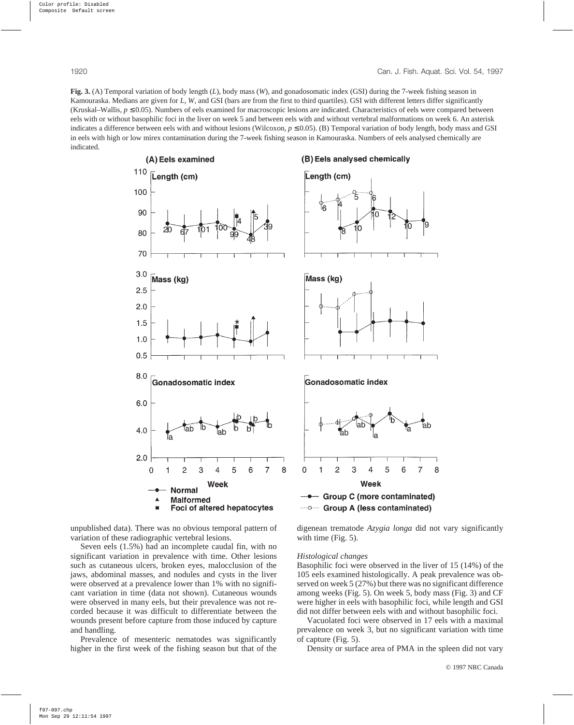**Fig. 3.** (A) Temporal variation of body length (*L*), body mass (*W*), and gonadosomatic index (GSI) during the 7-week fishing season in Kamouraska. Medians are given for *L*, *W*, and GSI (bars are from the first to third quartiles). GSI with different letters differ significantly (Kruskal–Wallis,  $p \le 0.05$ ). Numbers of eels examined for macroscopic lesions are indicated. Characteristics of eels were compared between eels with or without basophilic foci in the liver on week 5 and between eels with and without vertebral malformations on week 6. An asterisk indicates a difference between eels with and without lesions (Wilcoxon, *p* ≤ 0.05). (B) Temporal variation of body length, body mass and GSI in eels with high or low mirex contamination during the 7-week fishing season in Kamouraska. Numbers of eels analysed chemically are indicated.



unpublished data). There was no obvious temporal pattern of variation of these radiographic vertebral lesions.

Seven eels (1.5%) had an incomplete caudal fin, with no significant variation in prevalence with time. Other lesions such as cutaneous ulcers, broken eyes, malocclusion of the jaws, abdominal masses, and nodules and cysts in the liver were observed at a prevalence lower than 1% with no significant variation in time (data not shown). Cutaneous wounds were observed in many eels, but their prevalence was not recorded because it was difficult to differentiate between the wounds present before capture from those induced by capture and handling.

Prevalence of mesenteric nematodes was significantly higher in the first week of the fishing season but that of the

## (B) Eels analysed chemically



digenean trematode *Azygia longa* did not vary significantly with time (Fig. 5).

## *Histological changes*

Basophilic foci were observed in the liver of 15 (14%) of the 105 eels examined histologically. A peak prevalence was observed on week 5 (27%) but there was no significant difference among weeks (Fig. 5). On week 5, body mass (Fig. 3) and CF were higher in eels with basophilic foci, while length and GSI did not differ between eels with and without basophilic foci.

Vacuolated foci were observed in 17 eels with a maximal prevalence on week 3, but no significant variation with time of capture (Fig. 5).

Density or surface area of PMA in the spleen did not vary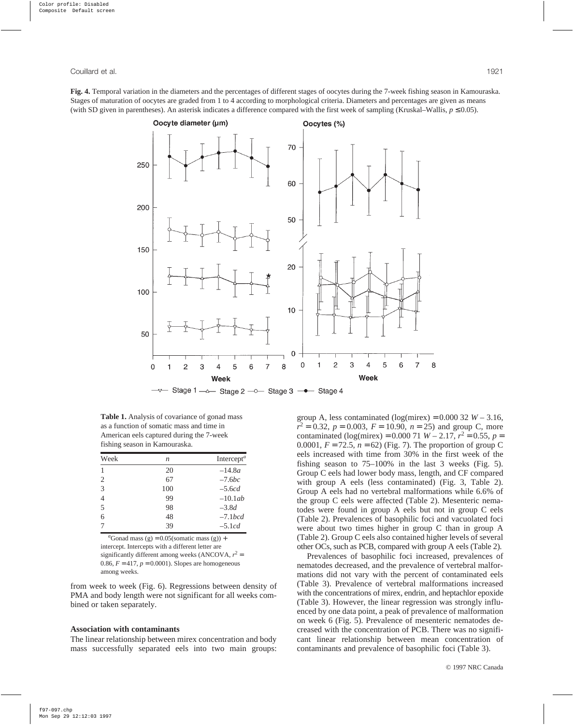**Fig. 4.** Temporal variation in the diameters and the percentages of different stages of oocytes during the 7-week fishing season in Kamouraska. Stages of maturation of oocytes are graded from 1 to 4 according to morphological criteria. Diameters and percentages are given as means (with SD given in parentheses). An asterisk indicates a difference compared with the first week of sampling (Kruskal–Wallis,  $p \le 0.05$ ).



**Table 1.** Analysis of covariance of gonad mass as a function of somatic mass and time in American eels captured during the 7-week fishing season in Kamouraska.

| Week           | n   | Intercept <sup><math>a</math></sup> |
|----------------|-----|-------------------------------------|
|                | 20  | $-14.8a$                            |
| 2              | 67  | $-7.6bc$                            |
| 3              | 100 | $-5.6cd$                            |
| $\overline{4}$ | 99  | $-10.1ab$                           |
| 5              | 98  | $-3.8d$                             |
| 6              | 48  | $-7.1bcd$                           |
|                | 39  | $-5.1cd$                            |

 ${}^a$ Gonad mass (g) =  $0.05$ (somatic mass (g)) + intercept. Intercepts with a different letter are significantly different among weeks (ANCOVA,  $r^2$  = 0.86,  $F = 417$ ,  $p = 0.0001$ ). Slopes are homogeneous among weeks.

from week to week (Fig. 6). Regressions between density of PMA and body length were not significant for all weeks combined or taken separately.

## **Association with contaminants**

The linear relationship between mirex concentration and body mass successfully separated eels into two main groups:

group A, less contaminated ( $log(mirex) = 0.00032 W - 3.16$ ,  $r^2 = 0.32$ ,  $p = 0.003$ ,  $F = 10.90$ ,  $n = 25$ ) and group C, more contaminated (log(mirex) = 0.000 71  $W - 2.17$ ,  $r^2 = 0.55$ ,  $p =$ 0.0001,  $F = 72.5$ ,  $n = 62$ ) (Fig. 7). The proportion of group C eels increased with time from 30% in the first week of the fishing season to 75–100% in the last 3 weeks (Fig. 5). Group C eels had lower body mass, length, and CF compared with group A eels (less contaminated) (Fig. 3, Table 2). Group A eels had no vertebral malformations while 6.6% of the group C eels were affected (Table 2). Mesenteric nematodes were found in group A eels but not in group C eels (Table 2). Prevalences of basophilic foci and vacuolated foci were about two times higher in group C than in group A (Table 2). Group C eels also contained higher levels of several

other OCs, such as PCB, compared with group A eels (Table 2). Prevalences of basophilic foci increased, prevalences of nematodes decreased, and the prevalence of vertebral malformations did not vary with the percent of contaminated eels (Table 3). Prevalence of vertebral malformations increased with the concentrations of mirex, endrin, and heptachlor epoxide (Table 3). However, the linear regression was strongly influenced by one data point, a peak of prevalence of malformation on week 6 (Fig. 5). Prevalence of mesenteric nematodes decreased with the concentration of PCB. There was no significant linear relationship between mean concentration of contaminants and prevalence of basophilic foci (Table 3).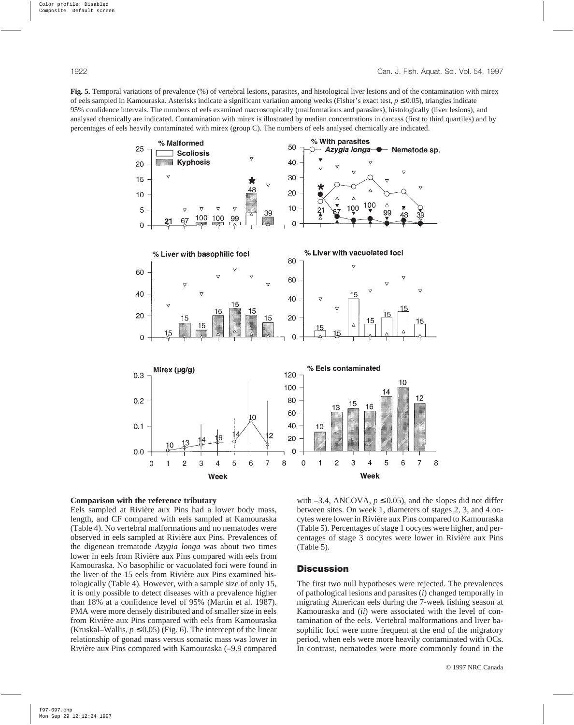**Fig. 5.** Temporal variations of prevalence (%) of vertebral lesions, parasites, and histological liver lesions and of the contamination with mirex of eels sampled in Kamouraska. Asterisks indicate a significant variation among weeks (Fisher's exact test, *p* ≤ 0.05), triangles indicate 95% confidence intervals. The numbers of eels examined macroscopically (malformations and parasites), histologically (liver lesions), and analysed chemically are indicated. Contamination with mirex is illustrated by median concentrations in carcass (first to third quartiles) and by percentages of eels heavily contaminated with mirex (group C). The numbers of eels analysed chemically are indicated.



**Comparison with the reference tributary**

Eels sampled at Rivière aux Pins had a lower body mass, length, and CF compared with eels sampled at Kamouraska (Table 4). No vertebral malformations and no nematodes were observed in eels sampled at Rivière aux Pins. Prevalences of the digenean trematode *Azygia longa* was about two times lower in eels from Rivière aux Pins compared with eels from Kamouraska. No basophilic or vacuolated foci were found in the liver of the 15 eels from Rivière aux Pins examined histologically (Table 4). However, with a sample size of only 15, it is only possible to detect diseases with a prevalence higher than 18% at a confidence level of 95% (Martin et al. 1987). PMA were more densely distributed and of smaller size in eels from Rivière aux Pins compared with eels from Kamouraska (Kruskal–Wallis,  $p \le 0.05$ ) (Fig. 6). The intercept of the linear relationship of gonad mass versus somatic mass was lower in Rivière aux Pins compared with Kamouraska (–9.9 compared

with  $-3.4$ , ANCOVA,  $p \le 0.05$ ), and the slopes did not differ between sites. On week 1, diameters of stages 2, 3, and 4 oocytes were lower in Rivière aux Pins compared to Kamouraska (Table 5). Percentages of stage 1 oocytes were higher, and percentages of stage 3 oocytes were lower in Rivière aux Pins (Table 5).

# **Discussion**

The first two null hypotheses were rejected. The prevalences of pathological lesions and parasites (*i*) changed temporally in migrating American eels during the 7-week fishing season at Kamouraska and (*ii*) were associated with the level of contamination of the eels. Vertebral malformations and liver basophilic foci were more frequent at the end of the migratory period, when eels were more heavily contaminated with OCs. In contrast, nematodes were more commonly found in the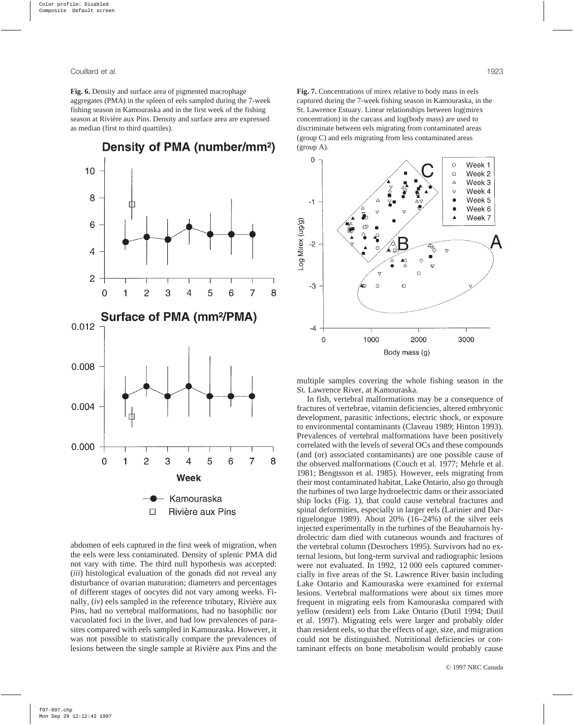**Fig. 6.** Density and surface area of pigmented macrophage aggregates (PMA) in the spleen of eels sampled during the 7-week fishing season in Kamouraska and in the first week of the fishing season at Rivière aux Pins. Density and surface area are expressed as median (first to third quartiles).



abdomen of eels captured in the first week of migration, when the eels were less contaminated. Density of splenic PMA did not vary with time. The third null hypothesis was accepted: (*iii*) histological evaluation of the gonads did not reveal any disturbance of ovarian maturation; diameters and percentages of different stages of oocytes did not vary among weeks. Finally, (*iv*) eels sampled in the reference tributary, Rivière aux Pins, had no vertebral malformations, had no basophilic nor vacuolated foci in the liver, and had low prevalences of parasites compared with eels sampled in Kamouraska. However, it was not possible to statistically compare the prevalences of lesions between the single sample at Rivière aux Pins and the **Fig. 7.** Concentrations of mirex relative to body mass in eels captured during the 7-week fishing season in Kamouraska, in the St. Lawrence Estuary. Linear relationships between log(mirex concentration) in the carcass and log(body mass) are used to discriminate between eels migrating from contaminated areas (group C) and eels migrating from less contaminated areas (group A).



multiple samples covering the whole fishing season in the St. Lawrence River, at Kamouraska.

In fish, vertebral malformations may be a consequence of fractures of vertebrae, vitamin deficiencies, altered embryonic development, parasitic infections, electric shock, or exposure to environmental contaminants (Claveau 1989; Hinton 1993). Prevalences of vertebral malformations have been positively correlated with the levels of several OCs and these compounds (and (or) associated contaminants) are one possible cause of the observed malformations (Couch et al. 1977; Mehrle et al. 1981; Bengtsson et al. 1985). However, eels migrating from their most contaminated habitat, Lake Ontario, also go through the turbines of two large hydroelectric dams or their associated ship locks (Fig. 1), that could cause vertebral fractures and spinal deformities, especially in larger eels (Larinier and Dartiguelongue 1989). About 20% (16–24%) of the silver eels injected experimentally in the turbines of the Beauharnois hydrolectric dam died with cutaneous wounds and fractures of the vertebral column (Desrochers 1995). Survivors had no external lesions, but long-term survival and radiographic lesions were not evaluated. In 1992, 12 000 eels captured commercially in five areas of the St. Lawrence River basin including Lake Ontario and Kamouraska were examined for external lesions. Vertebral malformations were about six times more frequent in migrating eels from Kamouraska compared with yellow (resident) eels from Lake Ontario (Dutil 1994; Dutil et al. 1997). Migrating eels were larger and probably older than resident eels, so that the effects of age, size, and migration could not be distinguished. Nutritional deficiencies or contaminant effects on bone metabolism would probably cause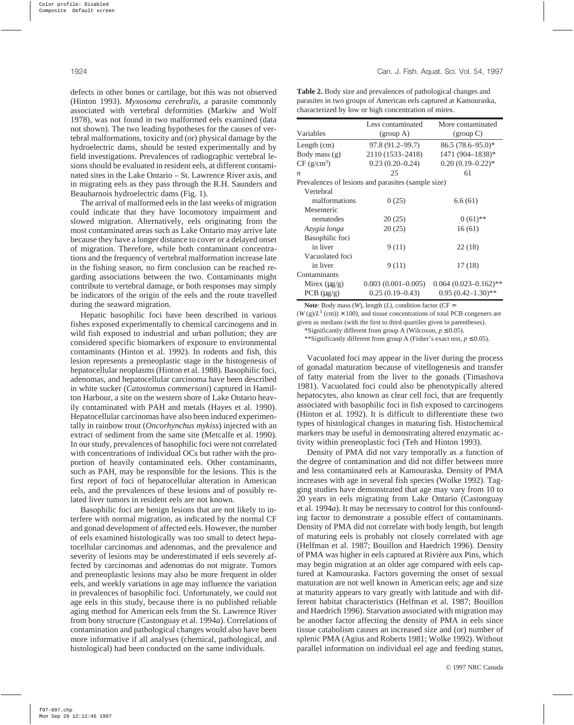defects in other bones or cartilage, but this was not observed (Hinton 1993). *Myxosoma cerebralis*, a parasite commonly associated with vertebral deformities (Markiw and Wolf 1978), was not found in two malformed eels examined (data not shown). The two leading hypotheses for the causes of vertebral malformations, toxicity and (or) physical damage by the hydroelectric dams, should be tested experimentally and by field investigations. Prevalences of radiographic vertebral lesions should be evaluated in resident eels, at different contaminated sites in the Lake Ontario – St. Lawrence River axis, and in migrating eels as they pass through the R.H. Saunders and Beauharnois hydroelectric dams (Fig. 1).

The arrival of malformed eels in the last weeks of migration could indicate that they have locomotory impairment and slowed migration. Alternatively, eels originating from the most contaminated areas such as Lake Ontario may arrive late because they have a longer distance to cover or a delayed onset of migration. Therefore, while both contaminant concentrations and the frequency of vertebral malformation increase late in the fishing season, no firm conclusion can be reached regarding associations between the two. Contaminants might contribute to vertebral damage, or both responses may simply be indicators of the origin of the eels and the route travelled during the seaward migration.

Hepatic basophilic foci have been described in various fishes exposed experimentally to chemical carcinogens and in wild fish exposed to industrial and urban pollution; they are considered specific biomarkers of exposure to environmental contaminants (Hinton et al. 1992). In rodents and fish, this lesion represents a preneoplastic stage in the histogenesis of hepatocellular neoplasms (Hinton et al. 1988). Basophilic foci, adenomas, and hepatocellular carcinoma have been described in white sucker (*Catostomus commersoni*) captured in Hamilton Harbour, a site on the western shore of Lake Ontario heavily contaminated with PAH and metals (Hayes et al. 1990). Hepatocellular carcinomas have also been induced experimentally in rainbow trout (*Oncorhynchus mykiss*) injected with an extract of sediment from the same site (Metcalfe et al. 1990). In our study, prevalences of basophilic foci were not correlated with concentrations of individual OCs but rather with the proportion of heavily contaminated eels. Other contaminants, such as PAH, may be responsible for the lesions. This is the first report of foci of hepatocellular alteration in American eels, and the prevalences of these lesions and of possibly related liver tumors in resident eels are not known.

Basophilic foci are benign lesions that are not likely to interfere with normal migration, as indicated by the normal CF and gonad development of affected eels. However, the number of eels examined histologically was too small to detect hepatocellular carcinomas and adenomas, and the prevalence and severity of lesions may be underestimated if eels severely affected by carcinomas and adenomas do not migrate. Tumors and preneoplastic lesions may also be more frequent in older eels, and weekly variations in age may influence the variation in prevalences of basophilic foci. Unfortunately, we could not age eels in this study, because there is no published reliable aging method for American eels from the St. Lawrence River from bony structure (Castonguay et al. 1994*a*). Correlations of contamination and pathological changes would also have been more informative if all analyses (chemical, pathological, and histological) had been conducted on the same individuals.

**Table 2.** Body size and prevalences of pathological changes and parasites in two groups of American eels captured at Kamouraska, characterized by low or high concentration of mirex.

|                         | Less contaminated                                  | More contaminated       |  |  |  |  |
|-------------------------|----------------------------------------------------|-------------------------|--|--|--|--|
| Variables               | (group A)                                          | (group C)               |  |  |  |  |
| Length $(cm)$           | 97.8 (91.2–99.7)                                   | $86.5(78.6-95.0)*$      |  |  |  |  |
| Body mass $(g)$         | 2110 (1533–2418)                                   | 1471 (904-1838)*        |  |  |  |  |
| CF (g/cm <sup>3</sup> ) | $0.23(0.20-0.24)$                                  | $0.20(0.19-0.22)$ *     |  |  |  |  |
| $\boldsymbol{n}$        | 25                                                 | 61                      |  |  |  |  |
|                         | Prevalences of lesions and parasites (sample size) |                         |  |  |  |  |
| Vertebral               |                                                    |                         |  |  |  |  |
| malformations           | 0(25)                                              | 6.6(61)                 |  |  |  |  |
| Mesenteric              |                                                    |                         |  |  |  |  |
| nematodes               | 20(25)                                             | $0(61)$ **              |  |  |  |  |
| Azygia longa            | 20(25)                                             | 16(61)                  |  |  |  |  |
| Basophilic foci         |                                                    |                         |  |  |  |  |
| in liver                | 9(11)                                              | 22(18)                  |  |  |  |  |
| Vacuolated foci         |                                                    |                         |  |  |  |  |
| in liver                | 9(11)                                              | 17(18)                  |  |  |  |  |
| Contaminants            |                                                    |                         |  |  |  |  |
| Mirex $(\mu g/g)$       | $0.003(0.001-0.005)$                               | $0.064(0.023-0.162)$ ** |  |  |  |  |
| $PCB (\mu g/g)$         | $0.25(0.19-0.43)$                                  | $0.95(0.42 - 1.30)$ **  |  |  |  |  |

**Note**: Body mass  $(W)$ , length  $(L)$ , condition factor  $(CF =$ 

 $(W(g)/L^3$  (cm))  $\times$  100), and tissue concentrations of total PCB congeners are given as medians (with the first to third quartiles given in parentheses).

\*Significantly different from group A (Wilcoxon,  $p \le 0.05$ ).

\*\*Significantly different from group A (Fisher's exact test,  $p \le 0.05$ ).

Vacuolated foci may appear in the liver during the process of gonadal maturation because of vitellogenesis and transfer of fatty material from the liver to the gonads (Timashova 1981). Vacuolated foci could also be phenotypically altered hepatocytes, also known as clear cell foci, that are frequently associated with basophilic foci in fish exposed to carcinogens (Hinton et al. 1992). It is difficult to differentiate these two types of histological changes in maturing fish. Histochemical markers may be useful in demonstrating altered enzymatic activity within preneoplastic foci (Teh and Hinton 1993).

Density of PMA did not vary temporally as a function of the degree of contamination and did not differ between more and less contaminated eels at Kamouraska. Density of PMA increases with age in several fish species (Wolke 1992). Tagging studies have demonstrated that age may vary from 10 to 20 years in eels migrating from Lake Ontario (Castonguay et al. 1994*a*). It may be necessary to control for this confounding factor to demonstrate a possible effect of contaminants. Density of PMA did not correlate with body length, but length of maturing eels is probably not closely correlated with age (Helfman et al. 1987; Bouillon and Haedrich 1996). Density of PMA was higher in eels captured at Rivière aux Pins, which may begin migration at an older age compared with eels captured at Kamouraska. Factors governing the onset of sexual maturation are not well known in American eels; age and size at maturity appears to vary greatly with latitude and with different habitat characteristics (Helfman et al. 1987; Bouillon and Haedrich 1996). Starvation associated with migration may be another factor affecting the density of PMA in eels since tissue catabolism causes an increased size and (or) number of splenic PMA (Agius and Roberts 1981; Wolke 1992). Without parallel information on individual eel age and feeding status,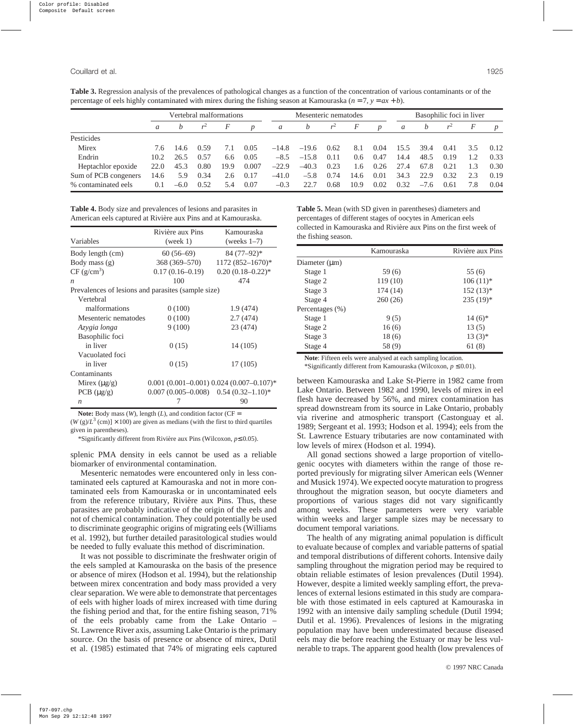|            | Vertebral malformations |  |  |  |  | $\mu$ percentage of eeld in ging contaminate with this calling are fiding belock at family diagram $(r - r, y)$ and $r \in \mathcal{F}$<br>Mesenteric nematodes |  |  |  |  |  | Basophilic foci in live |  |  |  |
|------------|-------------------------|--|--|--|--|-----------------------------------------------------------------------------------------------------------------------------------------------------------------|--|--|--|--|--|-------------------------|--|--|--|
|            |                         |  |  |  |  |                                                                                                                                                                 |  |  |  |  |  |                         |  |  |  |
| Pesticides |                         |  |  |  |  |                                                                                                                                                                 |  |  |  |  |  |                         |  |  |  |

| Endrin<br>Heptachlor epoxide                                                    |     | $10.2 \quad 26.5 \quad 0.57$ |             |     | 6.6 0.05<br>22.0 45.3 0.80 19.9 0.007 |        | $-8.5$ $-15.8$ 0.11 0.6 0.47 14.4 48.5 0.19 1.2 0.33<br>$-22.9$ $-40.3$ $0.23$ 1.6 0.26 27.4 67.8 0.21 1.3 |      |      |      |             |                   |     | 0.30 |
|---------------------------------------------------------------------------------|-----|------------------------------|-------------|-----|---------------------------------------|--------|------------------------------------------------------------------------------------------------------------|------|------|------|-------------|-------------------|-----|------|
| Sum of PCB congeners 14.6 5.9 0.34 2.6 0.17 -41.0 -5.8 0.74 14.6 0.01 34.3 22.9 |     |                              |             |     |                                       |        |                                                                                                            |      |      |      |             | $0.32 \qquad 2.3$ |     | 0.19 |
| % contaminated eels                                                             | 0.1 |                              | $-6.0$ 0.52 | 5.4 | 0.07                                  | $-0.3$ | 22.7                                                                                                       | 0.68 | 10.9 | 0.02 | $0.32 -7.6$ | 0.61              | 7.8 | 0.04 |
|                                                                                 |     |                              |             |     |                                       |        |                                                                                                            |      |      |      |             |                   |     |      |

**Table 4.** Body size and prevalences of lesions and parasites in American eels captured at Rivière aux Pins and at Kamouraska.

|                                                    | Rivière aux Pins                              | Kamouraska          |  |  |  |  |
|----------------------------------------------------|-----------------------------------------------|---------------------|--|--|--|--|
| Variables                                          | (week 1)                                      | (weeks $1-7$ )      |  |  |  |  |
| Body length (cm)                                   | $60(56-69)$                                   | $84(77-92)*$        |  |  |  |  |
| Body mass $(g)$                                    | 368 (369–570)                                 | $1172(852 - 1670)*$ |  |  |  |  |
| CF (g/cm <sup>3</sup> )                            | $0.17(0.16 - 0.19)$                           | $0.20(0.18-0.22)*$  |  |  |  |  |
| $\boldsymbol{n}$                                   | 100                                           | 474                 |  |  |  |  |
| Prevalences of lesions and parasites (sample size) |                                               |                     |  |  |  |  |
| Vertebral                                          |                                               |                     |  |  |  |  |
| malformations                                      | 0(100)                                        | 1.9(474)            |  |  |  |  |
| Mesenteric nematodes                               | 0(100)                                        | 2.7(474)            |  |  |  |  |
| Azygia longa                                       | 9(100)                                        | 23 (474)            |  |  |  |  |
| Basophilic foci                                    |                                               |                     |  |  |  |  |
| in liver                                           | 0(15)                                         | 14 (105)            |  |  |  |  |
| Vacuolated foci                                    |                                               |                     |  |  |  |  |
| in liver                                           | 0(15)                                         | 17(105)             |  |  |  |  |
| Contaminants                                       |                                               |                     |  |  |  |  |
| Mirex $(\mu g/g)$                                  | $0.001(0.001 - 0.001) 0.024(0.007 - 0.107)^*$ |                     |  |  |  |  |
| $PCB (\mu g/g)$                                    | $0.007(0.005-0.008)$ $0.54(0.32-1.10)*$       |                     |  |  |  |  |
| $\boldsymbol{n}$                                   |                                               | 90                  |  |  |  |  |

**Note:** Body mass (*W*), length (*L*), and condition factor (CF =

 $(W(g)/L^3$  (cm)] × 100) are given as medians (with the first to third quartiles given in parentheses).

\*Significantly different from Rivière aux Pins (Wilcoxon, *p*≤ 0.05).

splenic PMA density in eels cannot be used as a reliable biomarker of environmental contamination.

Mesenteric nematodes were encountered only in less contaminated eels captured at Kamouraska and not in more contaminated eels from Kamouraska or in uncontaminated eels from the reference tributary, Rivière aux Pins. Thus, these parasites are probably indicative of the origin of the eels and not of chemical contamination. They could potentially be used to discriminate geographic origins of migrating eels (Williams et al. 1992), but further detailed parasitological studies would be needed to fully evaluate this method of discrimination.

It was not possible to discriminate the freshwater origin of the eels sampled at Kamouraska on the basis of the presence or absence of mirex (Hodson et al. 1994), but the relationship between mirex concentration and body mass provided a very clear separation. We were able to demonstrate that percentages of eels with higher loads of mirex increased with time during the fishing period and that, for the entire fishing season, 71% of the eels probably came from the Lake Ontario – St. Lawrence River axis, assuming Lake Ontario is the primary source. On the basis of presence or absence of mirex, Dutil et al. (1985) estimated that 74% of migrating eels captured **Table 5.** Mean (with SD given in parentheses) diameters and percentages of different stages of oocytes in American eels collected in Kamouraska and Rivière aux Pins on the first week of the fishing season.

|                    | Kamouraska | Rivière aux Pins |
|--------------------|------------|------------------|
| Diameter $(\mu m)$ |            |                  |
| Stage 1            | 59 (6)     | 55 (6)           |
| Stage 2            | 119(10)    | $106(11)*$       |
| Stage 3            | 174 (14)   | $152(13)*$       |
| Stage 4            | 260(26)    | $235(19)*$       |
| Percentages (%)    |            |                  |
| Stage 1            | 9(5)       | $14(6)*$         |
| Stage 2            | 16(6)      | 13(5)            |
| Stage 3            | 18(6)      | $13(3)*$         |
| Stage 4            | 58(9)      | 61(8)            |

**Note**: Fifteen eels were analysed at each sampling location.

\*Significantly different from Kamouraska (Wilcoxon, *p* ≤ 0.01).

between Kamouraska and Lake St-Pierre in 1982 came from Lake Ontario. Between 1982 and 1990, levels of mirex in eel flesh have decreased by 56%, and mirex contamination has spread downstream from its source in Lake Ontario, probably via riverine and atmospheric transport (Castonguay et al. 1989; Sergeant et al. 1993; Hodson et al. 1994); eels from the St. Lawrence Estuary tributaries are now contaminated with low levels of mirex (Hodson et al. 1994).

All gonad sections showed a large proportion of vitellogenic oocytes with diameters within the range of those reported previously for migrating silver American eels (Wenner and Musick 1974). We expected oocyte maturation to progress throughout the migration season, but oocyte diameters and proportions of various stages did not vary significantly among weeks. These parameters were very variable within weeks and larger sample sizes may be necessary to document temporal variations.

The health of any migrating animal population is difficult to evaluate because of complex and variable patterns of spatial and temporal distributions of different cohorts. Intensive daily sampling throughout the migration period may be required to obtain reliable estimates of lesion prevalences (Dutil 1994). However, despite a limited weekly sampling effort, the prevalences of external lesions estimated in this study are comparable with those estimated in eels captured at Kamouraska in 1992 with an intensive daily sampling schedule (Dutil 1994; Dutil et al. 1996). Prevalences of lesions in the migrating population may have been underestimated because diseased eels may die before reaching the Estuary or may be less vulnerable to traps. The apparent good health (low prevalences of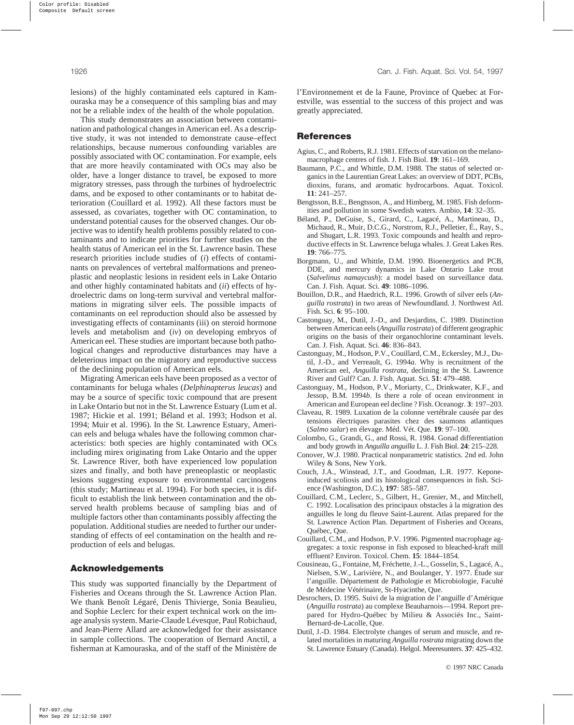lesions) of the highly contaminated eels captured in Kamouraska may be a consequence of this sampling bias and may not be a reliable index of the health of the whole population.

This study demonstrates an association between contamination and pathological changes in American eel. As a descriptive study, it was not intended to demonstrate cause–effect relationships, because numerous confounding variables are possibly associated with OC contamination. For example, eels that are more heavily contaminated with OCs may also be older, have a longer distance to travel, be exposed to more migratory stresses, pass through the turbines of hydroelectric dams, and be exposed to other contaminants or to habitat deterioration (Couillard et al. 1992). All these factors must be assessed, as covariates, together with OC contamination, to understand potential causes for the observed changes. Our objective was to identify health problems possibly related to contaminants and to indicate priorities for further studies on the health status of American eel in the St. Lawrence basin. These research priorities include studies of (*i*) effects of contaminants on prevalences of vertebral malformations and preneoplastic and neoplastic lesions in resident eels in Lake Ontario and other highly contaminated habitats and (*ii*) effects of hydroelectric dams on long-term survival and vertebral malformations in migrating silver eels. The possible impacts of contaminants on eel reproduction should also be assessed by investigating effects of contaminants (iii) on steroid hormone levels and metabolism and (*iv*) on developing embryos of American eel. These studies are important because both pathological changes and reproductive disturbances may have a deleterious impact on the migratory and reproductive success of the declining population of American eels.

Migrating American eels have been proposed as a vector of contaminants for beluga whales (*Delphinapterus leucas*) and may be a source of specific toxic compound that are present in Lake Ontario but not in the St. Lawrence Estuary (Lum et al. 1987; Hickie et al. 1991; Béland et al. 1993; Hodson et al. 1994; Muir et al. 1996). In the St. Lawrence Estuary, American eels and beluga whales have the following common characteristics: both species are highly contaminated with OCs including mirex originating from Lake Ontario and the upper St. Lawrence River, both have experienced low population sizes and finally, and both have preneoplastic or neoplastic lesions suggesting exposure to environmental carcinogens (this study; Martineau et al. 1994). For both species, it is difficult to establish the link between contamination and the observed health problems because of sampling bias and of multiple factors other than contaminants possibly affecting the population. Additional studies are needed to further our understanding of effects of eel contamination on the health and reproduction of eels and belugas.

# **Acknowledgements**

This study was supported financially by the Department of Fisheries and Oceans through the St. Lawrence Action Plan. We thank Benoît Légaré, Denis Thivierge, Sonia Beaulieu, and Sophie Leclerc for their expert technical work on the image analysis system. Marie-Claude Lévesque, Paul Robichaud, and Jean-Pierre Allard are acknowledged for their assistance in sample collections. The cooperation of Bernard Anctil, a fisherman at Kamouraska, and of the staff of the Ministère de

l'Environnement et de la Faune, Province of Quebec at Forestville, was essential to the success of this project and was greatly appreciated.

# **References**

- Agius, C., and Roberts, R.J. 1981. Effects of starvation on the melanomacrophage centres of fish. J. Fish Biol. **19**: 161–169.
- Baumann, P.C., and Whittle, D.M. 1988. The status of selected organics in the Laurentian Great Lakes: an overview of DDT, PCBs, dioxins, furans, and aromatic hydrocarbons. Aquat. Toxicol. **11**: 241–257.
- Bengtsson, B.E., Bengtsson, A., and Himberg, M. 1985. Fish deformities and pollution in some Swedish waters. Ambio, **14**: 32–35.
- Béland, P., DeGuise, S., Girard, C., Lagacé, A., Martineau, D., Michaud, R., Muir, D.C.G., Norstrom, R.J., Pelletier, É., Ray, S., and Shugart, L.R. 1993. Toxic compounds and health and reproductive effects in St. Lawrence beluga whales. J. Great Lakes Res. **19**: 766–775.
- Borgmann, U., and Whittle, D.M. 1990. Bioenergetics and PCB, DDE, and mercury dynamics in Lake Ontario Lake trout (*Salvelinus namaycush*): a model based on surveillance data. Can. J. Fish. Aquat. Sci. **49**: 1086–1096.
- Bouillon, D.R., and Haedrich, R.L. 1996. Growth of silver eels (*Anguilla rostrata*) in two areas of Newfoundland. J. Northwest Atl. Fish. Sci. **6**: 95–100.
- Castonguay, M., Dutil, J.-D., and Desjardins, C. 1989. Distinction between American eels (*Anguilla rostrata*) of different geographic origins on the basis of their organochlorine contaminant levels. Can. J. Fish. Aquat. Sci. **46**: 836–843.
- Castonguay, M., Hodson, P.V., Couillard, C.M., Eckersley, M.J., Dutil, J.-D., and Verreault, G. 1994*a*. Why is recruitment of the American eel, *Anguilla rostrata*, declining in the St. Lawrence River and Gulf? Can. J. Fish. Aquat. Sci. **51**: 479–488.
- Castonguay, M., Hodson, P.V., Moriarty, C., Drinkwater, K.F., and Jessop, B.M. 1994*b*. Is there a role of ocean environment in American and European eel decline ? Fish. Oceanogr. **3**: 197–203.
- Claveau, R. 1989. Luxation de la colonne vertébrale causée par des tensions électriques parasites chez des saumons atlantiques (*Salmo salar*) en élevage. Méd. Vét. Que. **19**: 97–100.
- Colombo, G., Grandi, G., and Rossi, R. 1984. Gonad differentiation and body growth in *Anguilla anguilla* L. J. Fish Biol. **24**: 215–228.
- Conover, W.J. 1980. Practical nonparametric statistics. 2nd ed. John Wiley & Sons, New York.
- Couch, J.A., Winstead, J.T., and Goodman, L.R. 1977. Keponeinduced scoliosis and its histological consequences in fish. Science (Washington, D.C.), **197**: 585–587.
- Couillard, C.M., Leclerc, S., Gilbert, H., Grenier, M., and Mitchell, C. 1992. Localisation des principaux obstacles à la migration des anguilles le long du fleuve Saint-Laurent. Atlas prepared for the St. Lawrence Action Plan. Department of Fisheries and Oceans, Québec, Que.
- Couillard, C.M., and Hodson, P.V. 1996. Pigmented macrophage aggregates: a toxic response in fish exposed to bleached-kraft mill effluent? Environ. Toxicol. Chem. **15**: 1844–1854.
- Cousineau, G., Fontaine, M, Fréchette, J.-L., Gosselin, S., Lagacé, A., Nielsen, S.W., Larivière, N., and Boulanger, Y. 1977. Étude sur l'anguille. Département de Pathologie et Microbiologie, Faculté de Médecine Vétérinaire, St-Hyacinthe, Que.
- Desrochers, D. 1995. Suivi de la migration de l'anguille d'Amérique (*Anguilla rostrata*) au complexe Beauharnois—1994. Report prepared for Hydro-Québec by Milieu & Associés Inc., Saint-Bernard-de-Lacolle, Que.
- Dutil, J.-D. 1984. Electrolyte changes of serum and muscle, and related mortalities in maturing *Anguilla rostrata* migrating down the St. Lawrence Estuary (Canada). Helgol. Meeresunters. **37**: 425–432.